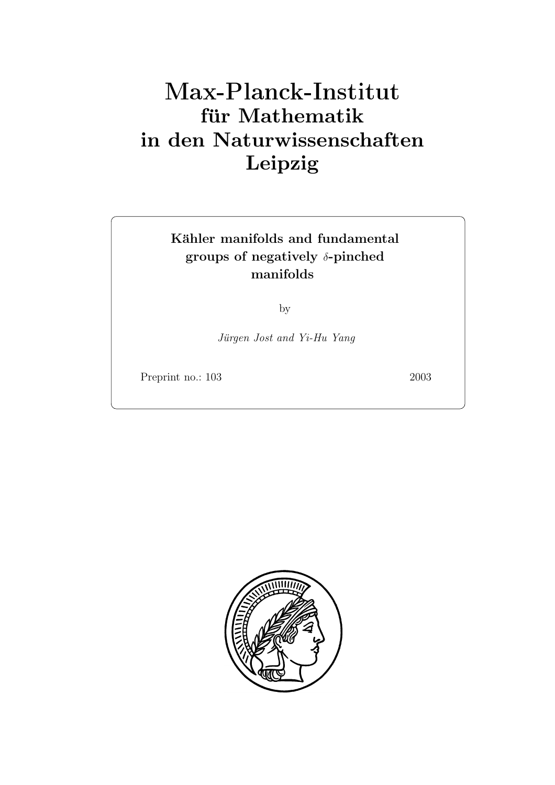# **fur Mathematik ¨ in den Naturwissenschaften Leipzig**

### Kähler manifolds and fundamental **groups of negatively** δ**-pinched manifolds**

by

Jürgen Jost and Yi-Hu Yang

Preprint no.: 103 2003

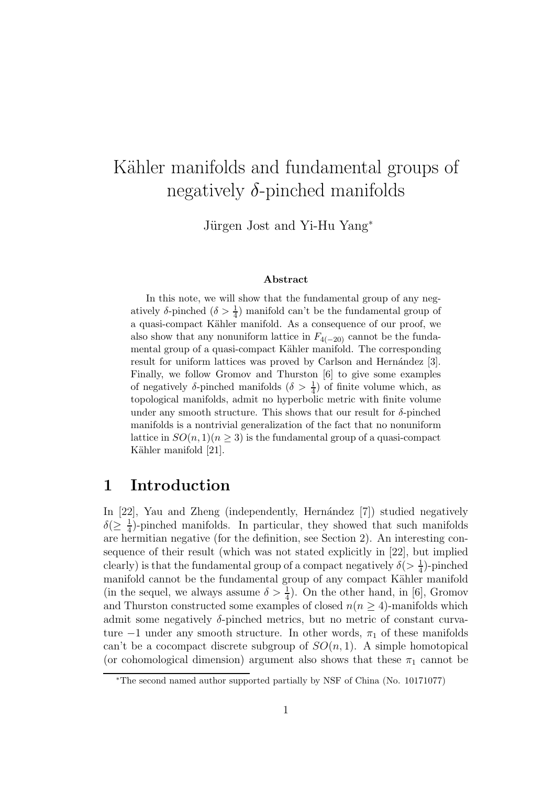# Kähler manifolds and fundamental groups of negatively  $\delta$ -pinched manifolds

Jürgen Jost and Yi-Hu Yang<sup>∗</sup>

#### **Abstract**

In this note, we will show that the fundamental group of any negatively  $\delta$ -pinched  $(\delta > \frac{1}{4})$  manifold can't be the fundamental group of a quasi-compact K¨ahler manifold. As a consequence of our proof, we also show that any nonuniform lattice in  $F_{4(-20)}$  cannot be the fundamental group of a quasi-compact Kähler manifold. The corresponding result for uniform lattices was proved by Carlson and Hernández [3]. Finally, we follow Gromov and Thurston [6] to give some examples of negatively  $\delta$ -pinched manifolds  $(\delta > \frac{1}{4})$  of finite volume which, as topological manifolds, admit no hyperbolic metric with finite volume under any smooth structure. This shows that our result for  $\delta$ -pinched manifolds is a nontrivial generalization of the fact that no nonuniform lattice in  $SO(n,1)(n \geq 3)$  is the fundamental group of a quasi-compact Kähler manifold [21].

#### **1 Introduction**

In [22], Yau and Zheng (independently, Hernández [7]) studied negatively  $\delta(\geq \frac{1}{4})$ -pinched manifolds. In particular, they showed that such manifolds are hermitian negative (for the definition, see Section 2). An interesting consequence of their result (which was not stated explicitly in [22], but implied clearly) is that the fundamental group of a compact negatively  $\delta(>\frac{1}{4})$ -pinched manifold cannot be the fundamental group of any compact Kähler manifold (in the sequel, we always assume  $\delta > \frac{1}{4}$ ). On the other hand, in [6], Gromov and Thurston constructed some examples of closed  $n(n \geq 4)$ -manifolds which admit some negatively δ-pinched metrics, but no metric of constant curvature  $-1$  under any smooth structure. In other words,  $\pi_1$  of these manifolds can't be a cocompact discrete subgroup of  $SO(n,1)$ . A simple homotopical (or cohomological dimension) argument also shows that these  $\pi_1$  cannot be

<sup>∗</sup>The second named author supported partially by NSF of China (No. 10171077)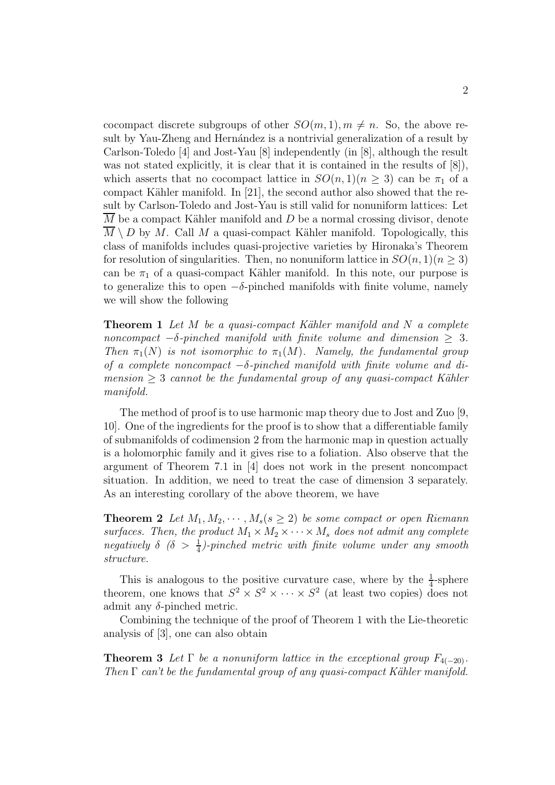cocompact discrete subgroups of other  $SO(m,1), m \neq n$ . So, the above result by Yau-Zheng and Hernández is a nontrivial generalization of a result by Carlson-Toledo [4] and Jost-Yau [8] independently (in [8], although the result was not stated explicitly, it is clear that it is contained in the results of  $[8]$ ), which asserts that no cocompact lattice in  $SO(n,1)(n \geq 3)$  can be  $\pi_1$  of a compact Kähler manifold. In  $[21]$ , the second author also showed that the result by Carlson-Toledo and Jost-Yau is still valid for nonuniform lattices: Let  $\overline{M}$  be a compact Kähler manifold and D be a normal crossing divisor, denote  $M \setminus D$  by M. Call M a quasi-compact Kähler manifold. Topologically, this class of manifolds includes quasi-projective varieties by Hironaka's Theorem for resolution of singularities. Then, no nonuniform lattice in  $SO(n,1)(n \geq 3)$ can be  $\pi_1$  of a quasi-compact Kähler manifold. In this note, our purpose is to generalize this to open  $-\delta$ -pinched manifolds with finite volume, namely we will show the following

**Theorem 1** Let M be a quasi-compact Kähler manifold and N a complete noncompact  $-\delta$ -pinched manifold with finite volume and dimension  $\geq 3$ . Then  $\pi_1(N)$  is not isomorphic to  $\pi_1(M)$ . Namely, the fundamental group of a complete noncompact  $-\delta$ -pinched manifold with finite volume and dimension  $\geq 3$  cannot be the fundamental group of any quasi-compact Kähler manifold.

The method of proof is to use harmonic map theory due to Jost and Zuo [9, 10]. One of the ingredients for the proof is to show that a differentiable family of submanifolds of codimension 2 from the harmonic map in question actually is a holomorphic family and it gives rise to a foliation. Also observe that the argument of Theorem 7.1 in [4] does not work in the present noncompact situation. In addition, we need to treat the case of dimension 3 separately. As an interesting corollary of the above theorem, we have

**Theorem 2** Let  $M_1, M_2, \cdots, M_s$  ( $s \geq 2$ ) be some compact or open Riemann surfaces. Then, the product  $M_1 \times M_2 \times \cdots \times M_s$  does not admit any complete negatively  $\delta$  ( $\delta > \frac{1}{4}$ )-pinched metric with finite volume under any smooth structure.

This is analogous to the positive curvature case, where by the  $\frac{1}{4}$ -sphere theorem, one knows that  $S^2 \times S^2 \times \cdots \times S^2$  (at least two copies) does not admit any  $\delta$ -pinched metric.

Combining the technique of the proof of Theorem 1 with the Lie-theoretic analysis of [3], one can also obtain

**Theorem 3** Let  $\Gamma$  be a nonuniform lattice in the exceptional group  $F_{4(-20)}$ . Then  $\Gamma$  can't be the fundamental group of any quasi-compact Kähler manifold.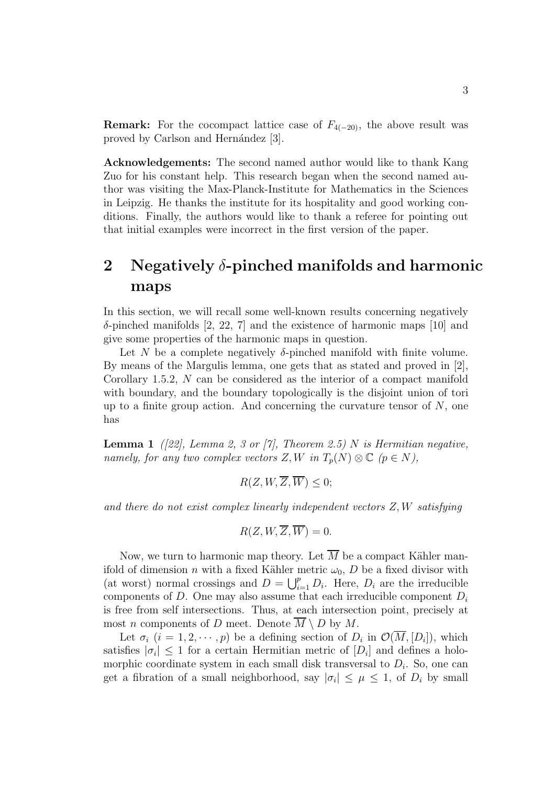**Remark:** For the cocompact lattice case of  $F_{4(-20)}$ , the above result was proved by Carlson and Hernández [3].

**Acknowledgements:** The second named author would like to thank Kang Zuo for his constant help. This research began when the second named author was visiting the Max-Planck-Institute for Mathematics in the Sciences in Leipzig. He thanks the institute for its hospitality and good working conditions. Finally, the authors would like to thank a referee for pointing out that initial examples were incorrect in the first version of the paper.

# **2 Negatively** δ**-pinched manifolds and harmonic maps**

In this section, we will recall some well-known results concerning negatively  $\delta$ -pinched manifolds [2, 22, 7] and the existence of harmonic maps [10] and give some properties of the harmonic maps in question.

Let N be a complete negatively  $\delta$ -pinched manifold with finite volume. By means of the Margulis lemma, one gets that as stated and proved in [2], Corollary 1.5.2, N can be considered as the interior of a compact manifold with boundary, and the boundary topologically is the disjoint union of tori up to a finite group action. And concerning the curvature tensor of  $N$ , one has

**Lemma 1** ([22], Lemma 2, 3 or [7], Theorem 2.5) N is Hermitian negative, namely, for any two complex vectors  $Z, W$  in  $T_p(N) \otimes \mathbb{C}$   $(p \in N)$ ,

$$
R(Z, W, \overline{Z}, \overline{W}) \le 0;
$$

and there do not exist complex linearly independent vectors Z,W satisfying

$$
R(Z, W, \overline{Z}, \overline{W}) = 0.
$$

Now, we turn to harmonic map theory. Let  $\overline{M}$  be a compact Kähler manifold of dimension *n* with a fixed Kähler metric  $\omega_0$ , *D* be a fixed divisor with (at worst) normal crossings and  $D = \bigcup_{i=1}^{p} D_i$ . Here,  $D_i$  are the irreducible components of D. One may also assume that each irreducible component D. components of D. One may also assume that each irreducible component  $D_i$ is free from self intersections. Thus, at each intersection point, precisely at most *n* components of *D* meet. Denote  $\overline{M} \setminus D$  by *M*.

Let  $\sigma_i$   $(i = 1, 2, \dots, p)$  be a defining section of  $D_i$  in  $\mathcal{O}(\overline{M}, [D_i])$ , which satisfies  $|\sigma_i| \leq 1$  for a certain Hermitian metric of  $[D_i]$  and defines a holomorphic coordinate system in each small disk transversal to  $D_i$ . So, one can get a fibration of a small neighborhood, say  $|\sigma_i| \leq \mu \leq 1$ , of  $D_i$  by small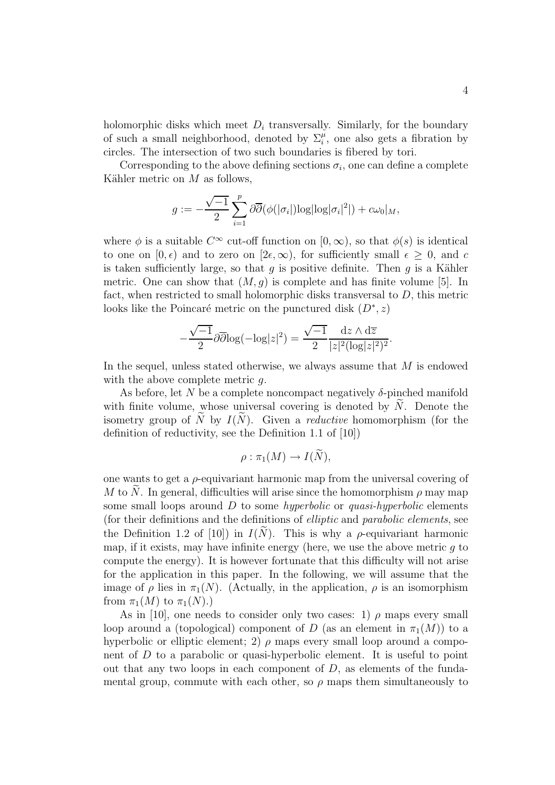holomorphic disks which meet  $D_i$  transversally. Similarly, for the boundary of such a small neighborhood, denoted by  $\Sigma_i^{\mu}$ , one also gets a fibration by eigeles. The intersection of two such boundaries is fibered by tori circles. The intersection of two such boundaries is fibered by tori.

Corresponding to the above defining sections  $\sigma_i$ , one can define a complete Kähler metric on  $M$  as follows,

$$
g := -\frac{\sqrt{-1}}{2} \sum_{i=1}^{p} \partial \overline{\partial}(\phi(|\sigma_i|) \log |\log |\sigma_i|^2|) + c\omega_0|_M,
$$

where  $\phi$  is a suitable  $C^{\infty}$  cut-off function on  $[0,\infty)$ , so that  $\phi(s)$  is identical to one on  $[0, \epsilon)$  and to zero on  $[2\epsilon, \infty)$ , for sufficiently small  $\epsilon \geq 0$ , and c is taken sufficiently large, so that  $g$  is positive definite. Then  $g$  is a Kähler metric. One can show that  $(M, q)$  is complete and has finite volume [5]. In fact, when restricted to small holomorphic disks transversal to  $D$ , this metric looks like the Poincaré metric on the punctured disk  $(D^*, z)$ 

$$
-\frac{\sqrt{-1}}{2}\partial\overline{\partial}\log(-\log|z|^2) = \frac{\sqrt{-1}}{2}\frac{\mathrm{d}z\wedge\mathrm{d}\overline{z}}{|z|^2(\log|z|^2)^2}.
$$

In the sequel, unless stated otherwise, we always assume that M is endowed with the above complete metric  $q$ .

As before, let N be a complete noncompact negatively  $\delta$ -pinched manifold with finite volume, whose universal covering is denoted by  $N$ . Denote the isometry group of N by  $I(N)$ . Given a *reductive* homomorphism (for the definition of reductivity, see the Definition 1.1 of [10])

$$
\rho : \pi_1(M) \to I(\widetilde{N}),
$$

one wants to get a  $\rho$ -equivariant harmonic map from the universal covering of M to N. In general, difficulties will arise since the homomorphism  $\rho$  may map some small loops around  $D$  to some *hyperbolic* or *quasi-hyperbolic* elements (for their definitions and the definitions of elliptic and parabolic elements, see the Definition 1.2 of [10]) in  $I(N)$ . This is why a  $\rho$ -equivariant harmonic map, if it exists, may have infinite energy (here, we use the above metric  $q$  to compute the energy). It is however fortunate that this difficulty will not arise for the application in this paper. In the following, we will assume that the image of  $\rho$  lies in  $\pi_1(N)$ . (Actually, in the application,  $\rho$  is an isomorphism from  $\pi_1(M)$  to  $\pi_1(N)$ .)

As in [10], one needs to consider only two cases: 1)  $\rho$  maps every small loop around a (topological) component of D (as an element in  $\pi_1(M)$ ) to a hyperbolic or elliptic element; 2)  $\rho$  maps every small loop around a component of D to a parabolic or quasi-hyperbolic element. It is useful to point out that any two loops in each component of  $D$ , as elements of the fundamental group, commute with each other, so  $\rho$  maps them simultaneously to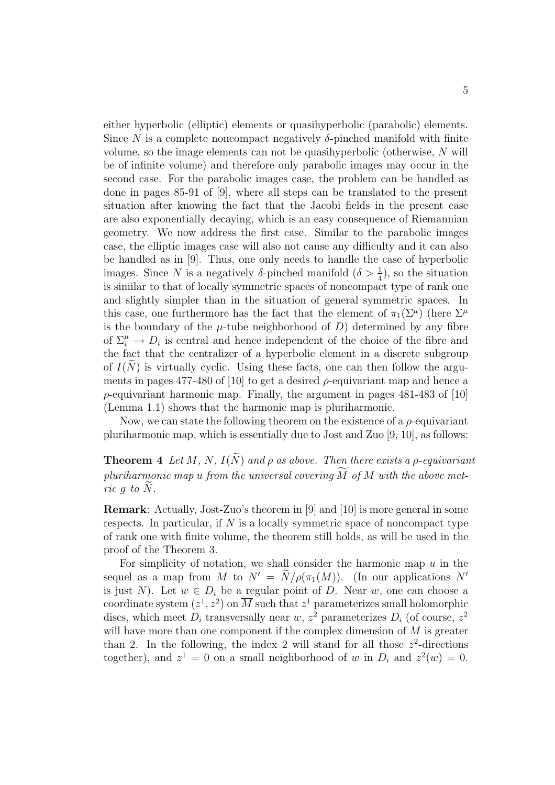either hyperbolic (elliptic) elements or quasihyperbolic (parabolic) elements. Since N is a complete noncompact negatively  $\delta$ -pinched manifold with finite volume, so the image elements can not be quasihyperbolic (otherwise, N will be of infinite volume) and therefore only parabolic images may occur in the second case. For the parabolic images case, the problem can be handled as done in pages 85-91 of [9], where all steps can be translated to the present situation after knowing the fact that the Jacobi fields in the present case are also exponentially decaying, which is an easy consequence of Riemannian geometry. We now address the first case. Similar to the parabolic images case, the elliptic images case will also not cause any difficulty and it can also be handled as in [9]. Thus, one only needs to handle the case of hyperbolic images. Since N is a negatively  $\delta$ -pinched manifold  $(\delta > \frac{1}{4})$ , so the situation is similar to that of locally symmetric spaces of noncompact type of rank one and slightly simpler than in the situation of general symmetric spaces. In this case, one furthermore has the fact that the element of  $\pi_1(\Sigma^\mu)$  (here  $\Sigma^\mu$ ) is the boundary of the  $\mu$ -tube neighborhood of  $D$ ) determined by any fibre of  $\Sigma_i^{\mu} \to D_i$  is central and hence independent of the choice of the fibre and<br>the fact that the contralizer of a hyperbolic element in a discrete subgroup the fact that the centralizer of a hyperbolic element in a discrete subgroup of  $I(N)$  is virtually cyclic. Using these facts, one can then follow the arguments in pages 477-480 of [10] to get a desired  $\rho$ -equivariant map and hence a  $\rho$ -equivariant harmonic map. Finally, the argument in pages 481-483 of [10] (Lemma 1.1) shows that the harmonic map is pluriharmonic.

Now, we can state the following theorem on the existence of a  $\rho$ -equivariant pluriharmonic map, which is essentially due to Jost and Zuo [9, 10], as follows:

**Theorem 4** Let M, N,  $I(\widetilde{N})$  and  $\rho$  as above. Then there exists a  $\rho$ -equivariant  $pluriharmonic map u from the universal covering M of M with the above met$ ric q to  $\widetilde{N}$ .

**Remark**: Actually, Jost-Zuo's theorem in [9] and [10] is more general in some respects. In particular, if  $N$  is a locally symmetric space of noncompact type of rank one with finite volume, the theorem still holds, as will be used in the proof of the Theorem 3.

For simplicity of notation, we shall consider the harmonic map  $u$  in the sequel as a map from M to  $N' = N/\rho(\pi_1(M))$ . (In our applications N' is just N). Let  $w \in D_i$  be a regular point of D. Near w, one can choose a coordinate system  $(z^1, z^2)$  on  $\overline{M}$  such that  $z^1$  parameterizes small holomorphic discs, which meet  $D_i$  transversally near w,  $z^2$  parameterizes  $D_i$  (of course,  $z^2$ ) will have more than one component if the complex dimension of  $M$  is greater than 2. In the following, the index 2 will stand for all those  $z^2$ -directions together), and  $z^1 = 0$  on a small neighborhood of w in  $D_i$  and  $z^2(w) = 0$ .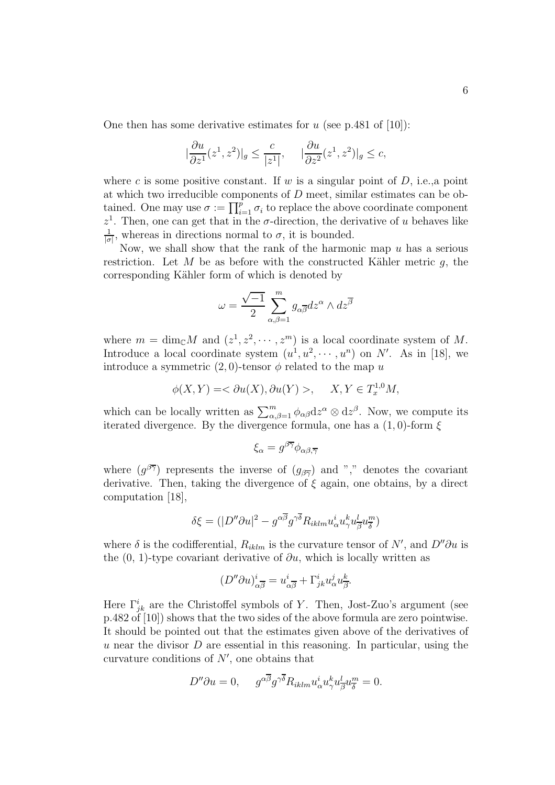One then has some derivative estimates for  $u$  (see p.481 of [10]):

$$
\left|\frac{\partial u}{\partial z^1}(z^1, z^2)\right|_g \le \frac{c}{|z^1|}, \quad \left|\frac{\partial u}{\partial z^2}(z^1, z^2)\right|_g \le c,
$$

where c is some positive constant. If  $w$  is a singular point of  $D$ , i.e., a point at which two irreducible components of D meet, similar estimates can be obtained. One may use  $\sigma := \prod_{i=1}^{p} \sigma_i$  to replace the above coordinate component  $\tau^1$ . Then, one can get that in the  $\sigma$  direction, the derivative of *u* behaves like  $z<sup>1</sup>$ . Then, one can get that in the  $\sigma$ -direction, the derivative of u behaves like 1 , whereas in directions normal to  $\sigma$ , it is bounded.

 $|\sigma|$ Now, we shall show that the rank of the harmonic map  $u$  has a serious restriction. Let M be as before with the constructed Kähler metric  $q$ , the corresponding Kähler form of which is denoted by

$$
\omega = \frac{\sqrt{-1}}{2} \sum_{\alpha,\beta=1}^{m} g_{\alpha\overline{\beta}} dz^{\alpha} \wedge dz^{\overline{\beta}}
$$

where  $m = \dim_{\mathbb{C}} M$  and  $(z^1, z^2, \dots, z^m)$  is a local coordinate system of M. Introduce a local coordinate system  $(u^1, u^2, \dots, u^n)$  on N'. As in [18], we introduce a symmetric  $(2,0)$ -tensor  $\phi$  related to the map u

$$
\phi(X,Y) = \langle \partial u(X), \partial u(Y) \rangle, \quad X, Y \in T_x^{1,0}M,
$$

which can be locally written as  $\sum_{\alpha,\beta=1}^{m} \phi_{\alpha\beta} dz^{\alpha} \otimes dz^{\beta}$ . Now, we compute its iterated divergence. By the divergence formula one has a (1.0) form  $\xi$ iterated divergence. By the divergence formula, one has a  $(1,0)$ -form  $\xi$ 

$$
\xi_{\alpha} = g^{\beta \overline{\gamma}} \phi_{\alpha \beta, \overline{\gamma}}
$$

where  $(g^{\beta \overline{\gamma}})$  represents the inverse of  $(g_{\beta \overline{\gamma}})$  and "," denotes the covariant derivative. Then, taking the divergence of  $\xi$  again, one obtains, by a direct computation [18],

$$
\delta \xi = (|D''\partial u|^2 - g^{\alpha \overline{\beta}} g^{\gamma \overline{\delta}} R_{iklm} u^i_{\alpha} u^k_{\gamma} u^l_{\overline{\beta}} u^m_{\overline{\delta}})
$$

where  $\delta$  is the codifferential,  $R_{iklm}$  is the curvature tensor of N', and  $D''\partial u$  is the  $(0, 1)$  time corresponds desirative of  $\partial u$ , which is locally without as the  $(0, 1)$ -type covariant derivative of  $\partial u$ , which is locally written as

$$
(D''\partial u)^i_{\alpha\overline{\beta}} = u^i_{\alpha\overline{\beta}} + \Gamma^i_{jk} u^j_{\alpha} u^k_{\overline{\beta}}.
$$

Here  $\Gamma_{jk}^{i}$  are the Christoffel symbols of Y. Then, Jost-Zuo's argument (see p.482 of [10]) shows that the two sides of the above formula are zero pointwise. It should be pointed out that the estimates given above of the derivatives of u near the divisor  $D$  are essential in this reasoning. In particular, using the curvature conditions of  $N'$ , one obtains that

$$
D''\partial u = 0, \quad g^{\alpha\overline{\beta}}g^{\gamma\overline{\delta}}R_{iklm}u^i_{\alpha}u^k_{\gamma}u^l_{\overline{\beta}}u^m_{\overline{\delta}} = 0.
$$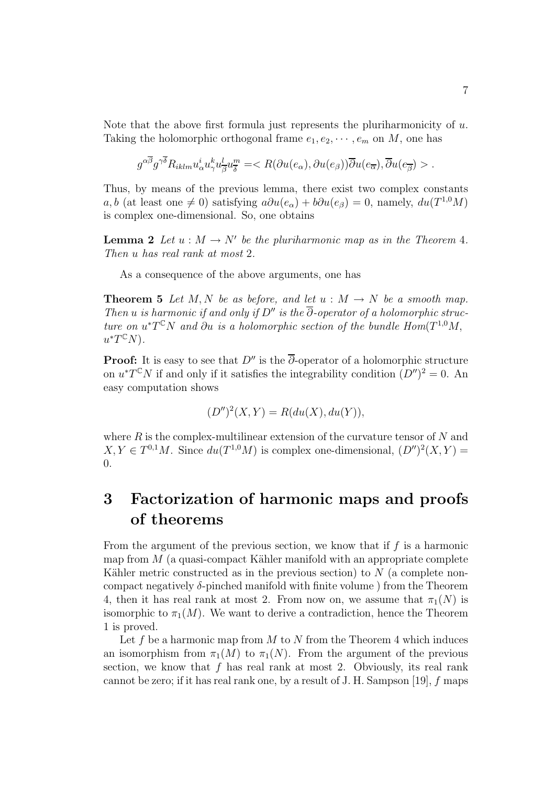Note that the above first formula just represents the pluriharmonicity of  $u$ . Taking the holomorphic orthogonal frame  $e_1, e_2, \dots, e_m$  on M, one has

$$
g^{\alpha\overline{\beta}}g^{\gamma\overline{\delta}}R_{iklm}u^i_{\alpha}u^k_{\gamma}u^l_{\overline{\beta}}u^m_{\overline{\delta}} = .
$$

Thus, by means of the previous lemma, there exist two complex constants a, b (at least one  $\neq 0$ ) satisfying  $a\partial u(e_\alpha) + b\partial u(e_\beta) = 0$ , namely,  $du(T^{1,0}M)$ is complex one-dimensional. So, one obtains

**Lemma 2** Let  $u : M \to N'$  be the pluriharmonic map as in the Theorem 4. Then u has real rank at most 2.

As a consequence of the above arguments, one has

**Theorem 5** Let M, N be as before, and let  $u : M \to N$  be a smooth map. Then u is harmonic if and only if D'' is the  $\overline{\partial}$ -operator of a holomorphic structure on  $u^*T^{\mathbb{C}}N$  and  $\partial u$  is a holomorphic section of the bundle Hom( $T^{1,0}M$ ,  $u^*T^{\mathbb{C}}N$ ).

**Proof:** It is easy to see that  $D''$  is the  $\overline{\partial}$ -operator of a holomorphic structure on  $u^*T^{\mathbb{C}}N$  if and only if it satisfies the integrability condition  $(D'')^2 = 0$ . An easy computation shows

$$
(D'')^{2}(X,Y) = R(du(X), du(Y)),
$$

where  $R$  is the complex-multilinear extension of the curvature tensor of  $N$  and  $X, Y \in T^{0,1}M$ . Since  $du(T^{1,0}M)$  is complex one-dimensional,  $(D'')^2(X, Y) =$ 0.

# **3 Factorization of harmonic maps and proofs of theorems**

From the argument of the previous section, we know that if  $f$  is a harmonic map from  $M$  (a quasi-compact Kähler manifold with an appropriate complete Kähler metric constructed as in the previous section) to  $N$  (a complete noncompact negatively  $\delta$ -pinched manifold with finite volume) from the Theorem 4, then it has real rank at most 2. From now on, we assume that  $\pi_1(N)$  is isomorphic to  $\pi_1(M)$ . We want to derive a contradiction, hence the Theorem 1 is proved.

Let f be a harmonic map from  $M$  to  $N$  from the Theorem 4 which induces an isomorphism from  $\pi_1(M)$  to  $\pi_1(N)$ . From the argument of the previous section, we know that  $f$  has real rank at most 2. Obviously, its real rank cannot be zero; if it has real rank one, by a result of J. H. Sampson [19],  $f$  maps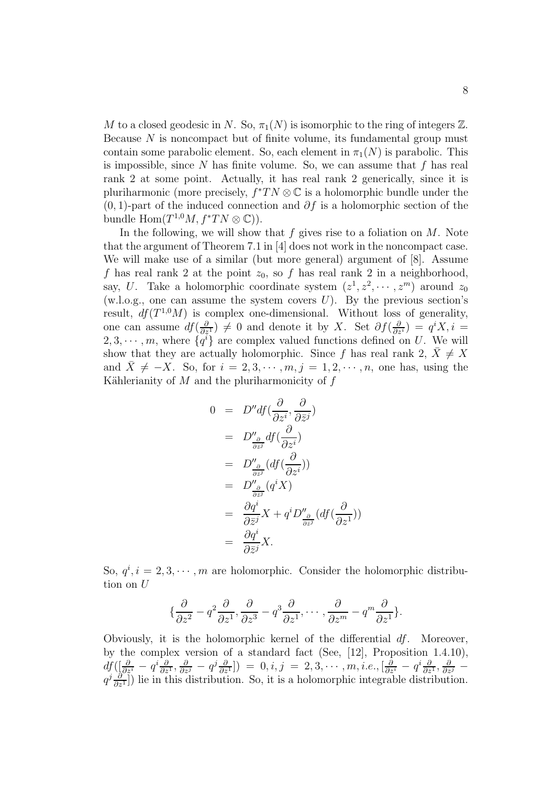M to a closed geodesic in N. So,  $\pi_1(N)$  is isomorphic to the ring of integers  $\mathbb{Z}$ . Because N is noncompact but of finite volume, its fundamental group must contain some parabolic element. So, each element in  $\pi_1(N)$  is parabolic. This is impossible, since  $N$  has finite volume. So, we can assume that  $f$  has real rank 2 at some point. Actually, it has real rank 2 generically, since it is pluriharmonic (more precisely,  $f^*TN \otimes \mathbb{C}$  is a holomorphic bundle under the  $(0, 1)$ -part of the induced connection and  $\partial f$  is a holomorphic section of the bundle Hom $(T^{1,0}M, f^*TN \otimes \mathbb{C})$ .

In the following, we will show that f gives rise to a foliation on  $M$ . Note that the argument of Theorem 7.1 in [4] does not work in the noncompact case. We will make use of a similar (but more general) argument of [8]. Assume f has real rank 2 at the point  $z_0$ , so f has real rank 2 in a neighborhood, say, U. Take a holomorphic coordinate system  $(z^1, z^2, \dots, z^m)$  around  $z_0$ (w.l.o.g., one can assume the system covers  $U$ ). By the previous section's result,  $df(T^{1,0}M)$  is complex one-dimensional. Without loss of generality, one can assume  $df(\frac{\partial}{\partial z^1}) \neq 0$  and denote it by X. Set  $\partial f(\frac{\partial}{\partial z^i}) = q^i X, i =$ <br>2.3... m where  $\int q^i x$  are complex valued functions defined on *U*. We will  $2, 3, \dots, m$ , where  $\{q^{i}\}\$ are complex valued functions defined on U. We will show that they are actually holomorphic. Since f has real rank 2,  $\bar{X} \neq X$ and  $X \neq -X$ . So, for  $i = 2, 3, \dots, m, j = 1, 2, \dots, n$ , one has, using the Kählerianity of  $M$  and the pluriharmonicity of  $f$ 

$$
0 = D''df(\frac{\partial}{\partial z^i}, \frac{\partial}{\partial \bar{z}^j})
$$
  
\n
$$
= D''_{\frac{\partial}{\partial \bar{z}^j}} df(\frac{\partial}{\partial z^i})
$$
  
\n
$$
= D''_{\frac{\partial}{\partial \bar{z}^j}} (df(\frac{\partial}{\partial z^i}))
$$
  
\n
$$
= D''_{\frac{\partial}{\partial \bar{z}^j}} (q^i X)
$$
  
\n
$$
= \frac{\partial q^i}{\partial \bar{z}^j} X + q^i D''_{\frac{\partial}{\partial \bar{z}^j}} (df(\frac{\partial}{\partial z^1}))
$$
  
\n
$$
= \frac{\partial q^i}{\partial \bar{z}^j} X.
$$

So,  $q^i$ ,  $i = 2, 3, \cdots, m$  are holomorphic. Consider the holomorphic distribution on U

$$
\{\frac{\partial}{\partial z^2}-q^2\frac{\partial}{\partial z^1},\frac{\partial}{\partial z^3}-q^3\frac{\partial}{\partial z^1},\cdots,\frac{\partial}{\partial z^m}-q^m\frac{\partial}{\partial z^1}\}.
$$

Obviously, it is the holomorphic kernel of the differential  $df$ . Moreover, by the complex version of a standard fact (See, [12], Proposition 1.4.10),  $df\left(\frac{\partial}{\partial z^i} - q^i \frac{\partial}{\partial z^1}, \frac{\partial}{\partial z^j} - q^j \frac{\partial}{\partial z^1}\right) = 0, i, j = 2, 3, \dots, m, i.e., \left[\frac{\partial}{\partial z^i} - q^i \frac{\partial}{\partial z^1}, \frac{\partial}{\partial z^j} - q^j \frac{\partial}{\partial z^1}\right]$  lie in this distribution. So, it is a holomorphic integrable distribution.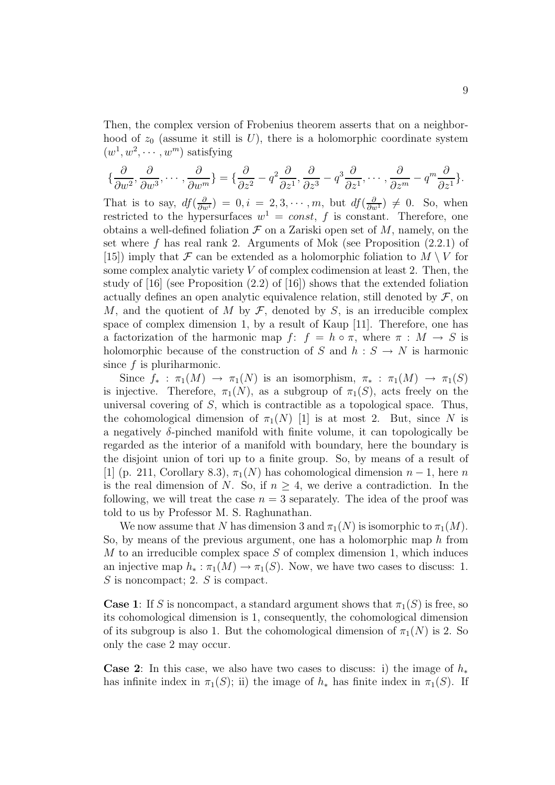Then, the complex version of Frobenius theorem asserts that on a neighborhood of  $z_0$  (assume it still is U), there is a holomorphic coordinate system  $(w^1, w^2, \cdots, w^m)$  satisfying

$$
\{\frac{\partial}{\partial w^2}, \frac{\partial}{\partial w^3}, \cdots, \frac{\partial}{\partial w^m}\} = \{\frac{\partial}{\partial z^2} - q^2 \frac{\partial}{\partial z^1}, \frac{\partial}{\partial z^3} - q^3 \frac{\partial}{\partial z^1}, \cdots, \frac{\partial}{\partial z^m} - q^m \frac{\partial}{\partial z^1}\}.
$$

That is to say,  $df(\frac{\partial}{\partial w^i}) = 0, i = 2, 3, \dots, m$ , but  $df(\frac{\partial}{\partial w^1}) \neq 0$ . So, when restricted to the hypersurfaces  $w^1 = const$ , f is constant. Therefore, one obtains a well-defined foliation  $\mathcal F$  on a Zariski open set of  $M$ , namely, on the set where  $f$  has real rank 2. Arguments of Mok (see Proposition  $(2.2.1)$  of  $[15]$  imply that F can be extended as a holomorphic foliation to  $M \setminus V$  for some complex analytic variety  $V$  of complex codimension at least 2. Then, the study of [16] (see Proposition (2.2) of [16]) shows that the extended foliation actually defines an open analytic equivalence relation, still denoted by  $\mathcal F$ , on M, and the quotient of M by  $\mathcal F$ , denoted by S, is an irreducible complex space of complex dimension 1, by a result of Kaup [11]. Therefore, one has a factorization of the harmonic map f:  $f = h \circ \pi$ , where  $\pi : M \to S$  is holomorphic because of the construction of S and  $h : S \to N$  is harmonic since  $f$  is pluriharmonic.

Since  $f_* : \pi_1(M) \to \pi_1(N)$  is an isomorphism,  $\pi_* : \pi_1(M) \to \pi_1(S)$ is injective. Therefore,  $\pi_1(N)$ , as a subgroup of  $\pi_1(S)$ , acts freely on the universal covering of  $S$ , which is contractible as a topological space. Thus, the cohomological dimension of  $\pi_1(N)$  [1] is at most 2. But, since N is a negatively  $\delta$ -pinched manifold with finite volume, it can topologically be regarded as the interior of a manifold with boundary, here the boundary is the disjoint union of tori up to a finite group. So, by means of a result of [1] (p. 211, Corollary 8.3),  $\pi_1(N)$  has cohomological dimension  $n-1$ , here n is the real dimension of N. So, if  $n \geq 4$ , we derive a contradiction. In the following, we will treat the case  $n = 3$  separately. The idea of the proof was told to us by Professor M. S. Raghunathan.

We now assume that N has dimension 3 and  $\pi_1(N)$  is isomorphic to  $\pi_1(M)$ . So, by means of the previous argument, one has a holomorphic map  $h$  from M to an irreducible complex space  $S$  of complex dimension 1, which induces an injective map  $h_* : \pi_1(M) \to \pi_1(S)$ . Now, we have two cases to discuss: 1.  $S$  is noncompact; 2.  $S$  is compact.

**Case 1**: If S is noncompact, a standard argument shows that  $\pi_1(S)$  is free, so its cohomological dimension is 1, consequently, the cohomological dimension of its subgroup is also 1. But the cohomological dimension of  $\pi_1(N)$  is 2. So only the case 2 may occur.

**Case 2**: In this case, we also have two cases to discuss: i) the image of  $h_*$ has infinite index in  $\pi_1(S)$ ; ii) the image of  $h_*$  has finite index in  $\pi_1(S)$ . If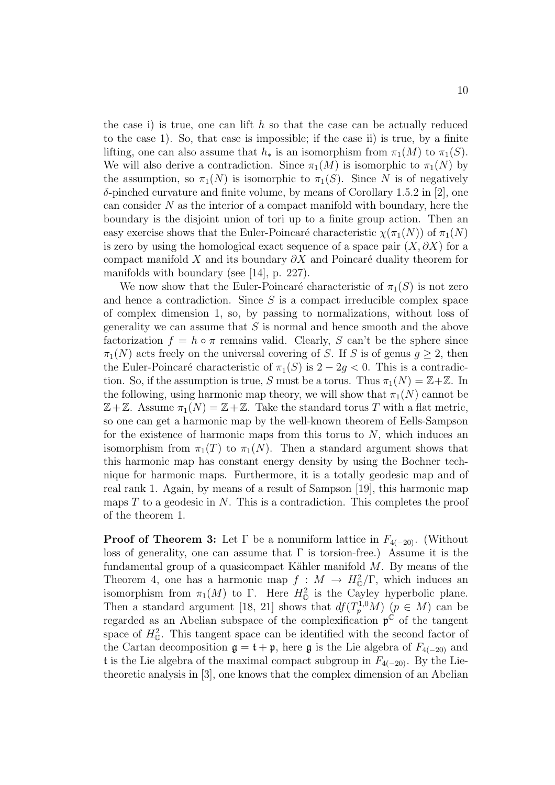the case i) is true, one can lift  $h$  so that the case can be actually reduced to the case 1). So, that case is impossible; if the case ii) is true, by a finite lifting, one can also assume that  $h_*$  is an isomorphism from  $\pi_1(M)$  to  $\pi_1(S)$ . We will also derive a contradiction. Since  $\pi_1(M)$  is isomorphic to  $\pi_1(N)$  by the assumption, so  $\pi_1(N)$  is isomorphic to  $\pi_1(S)$ . Since N is of negatively  $\delta$ -pinched curvature and finite volume, by means of Corollary 1.5.2 in [2], one can consider  $N$  as the interior of a compact manifold with boundary, here the boundary is the disjoint union of tori up to a finite group action. Then an easy exercise shows that the Euler-Poincaré characteristic  $\chi(\pi_1(N))$  of  $\pi_1(N)$ is zero by using the homological exact sequence of a space pair  $(X, \partial X)$  for a compact manifold X and its boundary  $\partial X$  and Poincaré duality theorem for manifolds with boundary (see [14], p. 227).

We now show that the Euler-Poincaré characteristic of  $\pi_1(S)$  is not zero and hence a contradiction. Since  $S$  is a compact irreducible complex space of complex dimension 1, so, by passing to normalizations, without loss of generality we can assume that  $S$  is normal and hence smooth and the above factorization  $f = h \circ \pi$  remains valid. Clearly, S can't be the sphere since  $\pi_1(N)$  acts freely on the universal covering of S. If S is of genus  $q \geq 2$ , then the Euler-Poincaré characteristic of  $\pi_1(S)$  is  $2 - 2g < 0$ . This is a contradiction. So, if the assumption is true, S must be a torus. Thus  $\pi_1(N) = \mathbb{Z} + \mathbb{Z}$ . In the following, using harmonic map theory, we will show that  $\pi_1(N)$  cannot be  $\mathbb{Z}+\mathbb{Z}$ . Assume  $\pi_1(N)=\mathbb{Z}+\mathbb{Z}$ . Take the standard torus T with a flat metric, so one can get a harmonic map by the well-known theorem of Eells-Sampson for the existence of harmonic maps from this torus to  $N$ , which induces an isomorphism from  $\pi_1(T)$  to  $\pi_1(N)$ . Then a standard argument shows that this harmonic map has constant energy density by using the Bochner technique for harmonic maps. Furthermore, it is a totally geodesic map and of real rank 1. Again, by means of a result of Sampson [19], this harmonic map maps  $T$  to a geodesic in  $N$ . This is a contradiction. This completes the proof of the theorem 1.

**Proof of Theorem 3:** Let  $\Gamma$  be a nonuniform lattice in  $F_{4(-20)}$ . (Without loss of generality, one can assume that  $\Gamma$  is torsion-free.) Assume it is the fundamental group of a quasicompact Kähler manifold  $M$ . By means of the Theorem 4, one has a harmonic map  $f: M \to H_0^2/\Gamma$ , which induces an isomorphism from  $\pi_1(M)$  to  $\Gamma$ . Here  $H^2_{\mathbb{O}}$  is the Cayley hyperbolic plane. Then a standard argument [18, 21] shows that  $df(T_p^{1,0}M)$  ( $p \in M$ ) can be recorded as an Abelian subgrass of the complexification  $\mathfrak{p}^{\mathbb{C}}$  of the tengont regarded as an Abelian subspace of the complexification  $\mathfrak{p}^{\mathbb{C}}$  of the tangent space of  $H_0^2$ . This tangent space can be identified with the second factor of the Cartan decomposition  $\mathfrak{g} = \mathfrak{t} + \mathfrak{p}$ , here  $\mathfrak{g}$  is the Lie algebra of  $F_{4(-20)}$  and t is the Lie algebra of the maximal compact subgroup in  $F_{4(-20)}$ . By the Lietheoretic analysis in [3], one knows that the complex dimension of an Abelian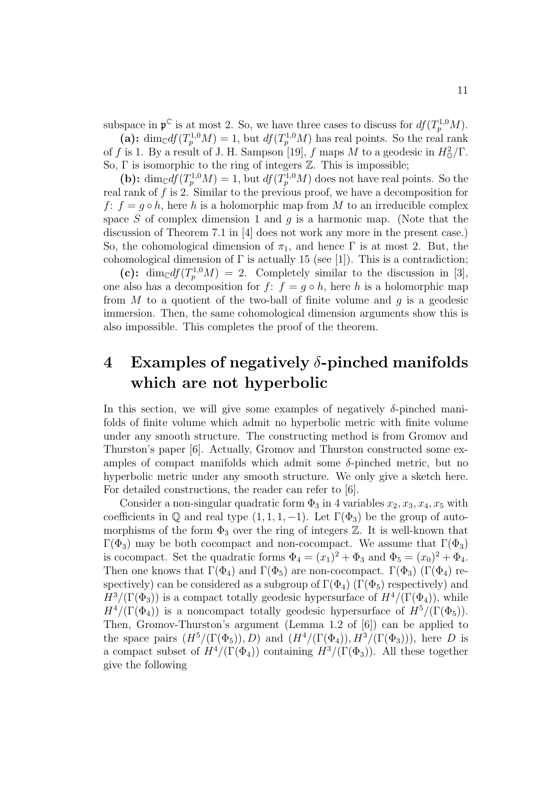subspace in  $\mathfrak{p}^{\mathbb{C}}$  is at most 2. So, we have three cases to discuss for  $df(T_p^{1,0}M)$ .<br>
(a):  $\dim_{\mathbb{C}} df(T_p^{1,0}M) = 1$ , but  $df(T_p^{1,0}M)$  has real points. So the real rank of f is 1. By a result of J. H. Sampson [1 So,  $\Gamma$  is isomorphic to the ring of integers  $\mathbb{Z}$ . This is impossible;

(b):  $\dim_{\mathbb{C}} df(T_p^{1,0}M) = 1$ , but  $df(T_p^{1,0}M)$  does not have real points. So the real rank of  $f$  is 2. Similar to the previous proof, we have a decomposition for f:  $f = g \circ h$ , here h is a holomorphic map from M to an irreducible complex space S of complex dimension 1 and  $q$  is a harmonic map. (Note that the discussion of Theorem 7.1 in [4] does not work any more in the present case.) So, the cohomological dimension of  $\pi_1$ , and hence  $\Gamma$  is at most 2. But, the cohomological dimension of  $\Gamma$  is actually 15 (see [1]). This is a contradiction;

(c):  $\dim_{\mathbb{C}} df(T_p^{1,0}M) = 2$ . Completely similar to the discussion in [3], one also has a decomposition for  $f: f = g \circ h$ , here h is a holomorphic map from  $M$  to a quotient of the two-ball of finite volume and  $q$  is a geodesic immersion. Then, the same cohomological dimension arguments show this is also impossible. This completes the proof of the theorem.

## **4 Examples of negatively** δ**-pinched manifolds which are not hyperbolic**

In this section, we will give some examples of negatively  $\delta$ -pinched manifolds of finite volume which admit no hyperbolic metric with finite volume under any smooth structure. The constructing method is from Gromov and Thurston's paper [6]. Actually, Gromov and Thurston constructed some examples of compact manifolds which admit some  $\delta$ -pinched metric, but no hyperbolic metric under any smooth structure. We only give a sketch here. For detailed constructions, the reader can refer to [6].

Consider a non-singular quadratic form  $\Phi_3$  in 4 variables  $x_2, x_3, x_4, x_5$  with coefficients in  $\mathbb Q$  and real type  $(1, 1, 1, -1)$ . Let  $\Gamma(\Phi_3)$  be the group of automorphisms of the form  $\Phi_3$  over the ring of integers  $\mathbb Z$ . It is well-known that Γ( $\Phi_3$ ) may be both cocompact and non-cocompact. We assume that Γ( $\Phi_3$ ) is cocompact. Set the quadratic forms  $\Phi_4 = (x_1)^2 + \Phi_3$  and  $\Phi_5 = (x_0)^2 + \Phi_4$ . Then one knows that  $\Gamma(\Phi_4)$  and  $\Gamma(\Phi_5)$  are non-cocompact.  $\Gamma(\Phi_3)$  ( $\Gamma(\Phi_4)$ ) respectively) can be considered as a subgroup of  $\Gamma(\Phi_4)$  ( $\Gamma(\Phi_5)$ ) respectively) and  $H^3/(\Gamma(\Phi_3))$  is a compact totally geodesic hypersurface of  $H^4/(\Gamma(\Phi_4))$ , while  $H^4/(\Gamma(\Phi_4))$  is a noncompact totally geodesic hypersurface of  $H^5/(\Gamma(\Phi_5))$ . Then, Gromov-Thurston's argument (Lemma 1.2 of [6]) can be applied to the space pairs  $(H^5/(\Gamma(\Phi_5)), D)$  and  $(H^4/(\Gamma(\Phi_4)), H^3/(\Gamma(\Phi_3)))$ , here D is a compact subset of  $H^4/(\Gamma(\Phi_4))$  containing  $H^3/(\Gamma(\Phi_3))$ . All these together give the following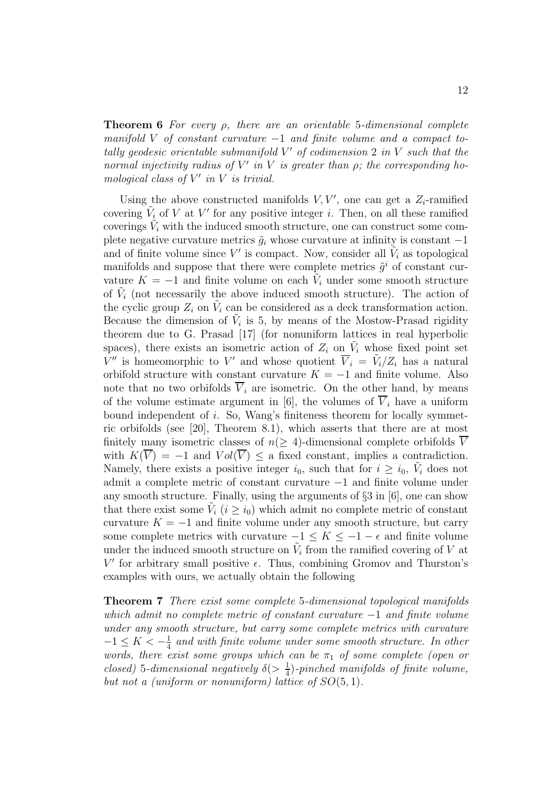12

**Theorem 6** For every ρ, there are an orientable 5-dimensional complete manifold V of constant curvature  $-1$  and finite volume and a compact totally geodesic orientable submanifold  $V'$  of codimension 2 in  $V$  such that the normal injectivity radius of  $V'$  in V is greater than  $\rho$ ; the corresponding homological class of  $V'$  in  $V$  is trivial.

Using the above constructed manifolds  $V, V'$ , one can get a  $Z_i$ -ramified covering  $V_i$  of V at V' for any positive integer i. Then, on all these ramified coverings  $\tilde{V}_i$  with the induced smooth structure, one can construct some complete negative curvature metrics  $\tilde{g}_i$  whose curvature at infinity is constant  $-1$ and of finite volume since  $V'$  is compact. Now, consider all  $V_i$  as topological manifolds and suppose that there were complete metrics  $\tilde{g}^i$  of constant curvature  $K = -1$  and finite volume on each  $V_i$  under some smooth structure of  $V_i$  (not necessarily the above induced smooth structure). The action of the cyclic group  $Z_i$  on  $V_i$  can be considered as a deck transformation action. Because the dimension of  $V_i$  is 5, by means of the Mostow-Prasad rigidity theorem due to G. Prasad [17] (for nonuniform lattices in real hyperbolic spaces), there exists an isometric action of  $Z_i$  on  $V_i$  whose fixed point set  $V''$  is homeomorphic to V' and whose quotient  $\overline{V}_i = \tilde{V}_i/Z_i$  has a natural orbifold structure with constant curvature  $K = -1$  and finite volume. Also note that no two orbifolds  $\overline{V}_i$  are isometric. On the other hand, by means of the volume estimate argument in [6], the volumes of  $\overline{V}_i$  have a uniform bound independent of i. So, Wang's finiteness theorem for locally symmetric orbifolds (see [20], Theorem 8.1), which asserts that there are at most finitely many isometric classes of  $n(\geq 4)$ -dimensional complete orbifolds  $\overline{V}$ with  $K(\overline{V}) = -1$  and  $Vol(\overline{V}) \le a$  fixed constant, implies a contradiction. Namely, there exists a positive integer  $i_0$ , such that for  $i \geq i_0$ ,  $V_i$  does not admit a complete metric of constant curvature −1 and finite volume under any smooth structure. Finally, using the arguments of §3 in [6], one can show that there exist some  $\tilde{V}_i$   $(i > i_0)$  which admit no complete metric of constant curvature  $K = -1$  and finite volume under any smooth structure, but carry some complete metrics with curvature  $-1 \leq K \leq -1 - \epsilon$  and finite volume under the induced smooth structure on  $\tilde{V}_i$  from the ramified covering of V at  $V'$  for arbitrary small positive  $\epsilon$ . Thus, combining Gromov and Thurston's examples with ours, we actually obtain the following

**Theorem 7** There exist some complete 5-dimensional topological manifolds which admit no complete metric of constant curvature  $-1$  and finite volume under any smooth structure, but carry some complete metrics with curvature  $-1 \leq K < -\frac{1}{4}$  and with finite volume under some smooth structure. In other words, there exist some groups which can be  $\pi_1$  of some complete (open or closed) 5-dimensional negatively  $\delta(>\frac{1}{4})$ -pinched manifolds of finite volume, but not a (uniform or nonuniform) lattice of  $SO(5,1)$ .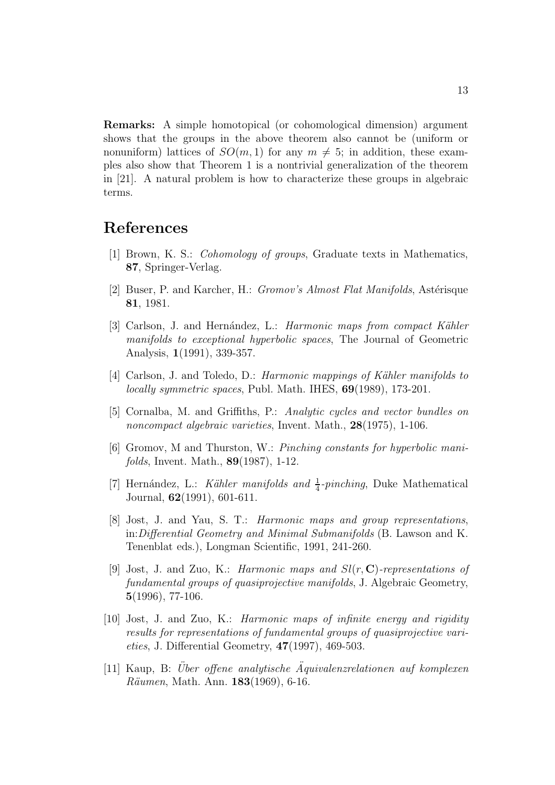**Remarks:** A simple homotopical (or cohomological dimension) argument shows that the groups in the above theorem also cannot be (uniform or nonuniform) lattices of  $SO(m,1)$  for any  $m \neq 5$ ; in addition, these examples also show that Theorem 1 is a nontrivial generalization of the theorem in [21]. A natural problem is how to characterize these groups in algebraic terms.

#### **References**

- [1] Brown, K. S.: Cohomology of groups, Graduate texts in Mathematics, **87**, Springer-Verlag.
- [2] Buser, P. and Karcher, H.: *Gromov's Almost Flat Manifolds*, Astérisque **81**, 1981.
- [3] Carlson, J. and Hernández, L.: *Harmonic maps from compact Kähler* manifolds to exceptional hyperbolic spaces, The Journal of Geometric Analysis, **1**(1991), 339-357.
- [4] Carlson, J. and Toledo, D.: *Harmonic mappings of Kähler manifolds to* locally symmetric spaces, Publ. Math. IHES, **69**(1989), 173-201.
- [5] Cornalba, M. and Griffiths, P.: Analytic cycles and vector bundles on noncompact algebraic varieties, Invent. Math., **28**(1975), 1-106.
- [6] Gromov, M and Thurston, W.: Pinching constants for hyperbolic manifolds, Invent. Math., **89**(1987), 1-12.
- [7] Hernández, L.: Kähler manifolds and  $\frac{1}{4}$ -pinching, Duke Mathematical Journal, **62**(1991), 601-611.
- [8] Jost, J. and Yau, S. T.: Harmonic maps and group representations, in:Differential Geometry and Minimal Submanifolds (B. Lawson and K. Tenenblat eds.), Longman Scientific, 1991, 241-260.
- [9] Jost, J. and Zuo, K.: Harmonic maps and Sl(r, **C**)-representations of fundamental groups of quasiprojective manifolds, J. Algebraic Geometry, **5**(1996), 77-106.
- [10] Jost, J. and Zuo, K.: Harmonic maps of infinite energy and rigidity results for representations of fundamental groups of quasiprojective varieties, J. Differential Geometry, **47**(1997), 469-503.
- $[11]$  Kaup, B: Über offene analytische Äquivalenzrelationen auf komplexen R¨aumen, Math. Ann. **183**(1969), 6-16.